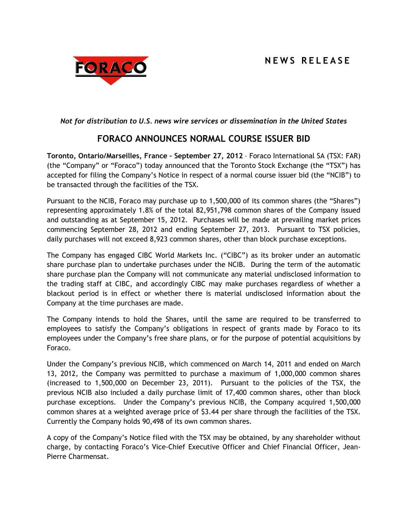# **N E W S R E L E A S E**



## *Not for distribution to U.S. news wire services or dissemination in the United States*

## **FORACO ANNOUNCES NORMAL COURSE ISSUER BID**

**Toronto, Ontario/Marseilles, France – September 27, 2012** – Foraco International SA (TSX: FAR) (the "Company" or "Foraco") today announced that the Toronto Stock Exchange (the "TSX") has accepted for filing the Company's Notice in respect of a normal course issuer bid (the "NCIB") to be transacted through the facilities of the TSX.

Pursuant to the NCIB, Foraco may purchase up to 1,500,000 of its common shares (the "Shares") representing approximately 1.8% of the total 82,951,798 common shares of the Company issued and outstanding as at September 15, 2012. Purchases will be made at prevailing market prices commencing September 28, 2012 and ending September 27, 2013. Pursuant to TSX policies, daily purchases will not exceed 8,923 common shares, other than block purchase exceptions.

The Company has engaged CIBC World Markets Inc. ("CIBC") as its broker under an automatic share purchase plan to undertake purchases under the NCIB. During the term of the automatic share purchase plan the Company will not communicate any material undisclosed information to the trading staff at CIBC, and accordingly CIBC may make purchases regardless of whether a blackout period is in effect or whether there is material undisclosed information about the Company at the time purchases are made.

The Company intends to hold the Shares, until the same are required to be transferred to employees to satisfy the Company's obligations in respect of grants made by Foraco to its employees under the Company's free share plans, or for the purpose of potential acquisitions by Foraco.

Under the Company's previous NCIB, which commenced on March 14, 2011 and ended on March 13, 2012, the Company was permitted to purchase a maximum of 1,000,000 common shares (increased to 1,500,000 on December 23, 2011). Pursuant to the policies of the TSX, the previous NCIB also included a daily purchase limit of 17,400 common shares, other than block purchase exceptions. Under the Company's previous NCIB, the Company acquired 1,500,000 common shares at a weighted average price of \$3.44 per share through the facilities of the TSX. Currently the Company holds 90,498 of its own common shares.

A copy of the Company's Notice filed with the TSX may be obtained, by any shareholder without charge, by contacting Foraco's Vice-Chief Executive Officer and Chief Financial Officer, Jean-Pierre Charmensat.